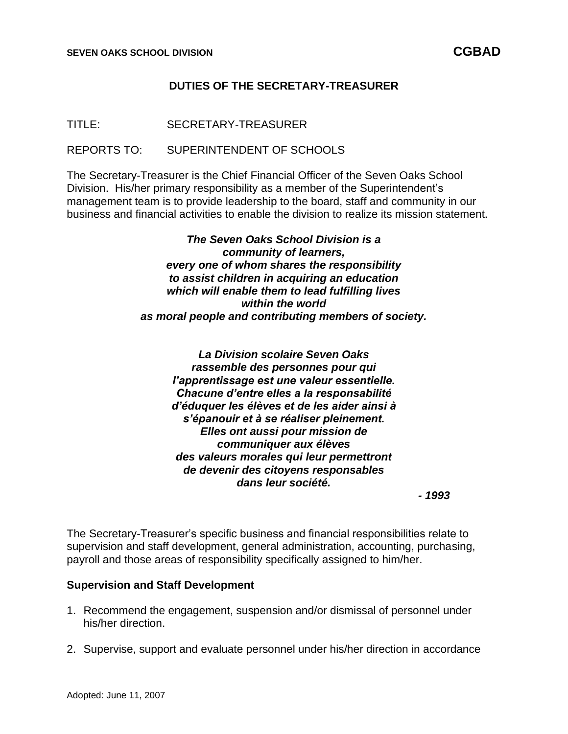# **DUTIES OF THE SECRETARY-TREASURER**

TITLE: SECRETARY-TREASURER

REPORTS TO: SUPERINTENDENT OF SCHOOLS

The Secretary-Treasurer is the Chief Financial Officer of the Seven Oaks School Division. His/her primary responsibility as a member of the Superintendent's management team is to provide leadership to the board, staff and community in our business and financial activities to enable the division to realize its mission statement.

> *The Seven Oaks School Division is a community of learners, every one of whom shares the responsibility to assist children in acquiring an education which will enable them to lead fulfilling lives within the world as moral people and contributing members of society.*

*La Division scolaire Seven Oaks rassemble des personnes pour qui l'apprentissage est une valeur essentielle. Chacune d'entre elles a la responsabilité d'éduquer les élèves et de les aider ainsi à s'épanouir et à se réaliser pleinement. Elles ont aussi pour mission de communiquer aux élèves des valeurs morales qui leur permettront de devenir des citoyens responsables dans leur société.*

*- 1993*

The Secretary-Treasurer's specific business and financial responsibilities relate to supervision and staff development, general administration, accounting, purchasing, payroll and those areas of responsibility specifically assigned to him/her.

#### **Supervision and Staff Development**

- 1. Recommend the engagement, suspension and/or dismissal of personnel under his/her direction.
- 2. Supervise, support and evaluate personnel under his/her direction in accordance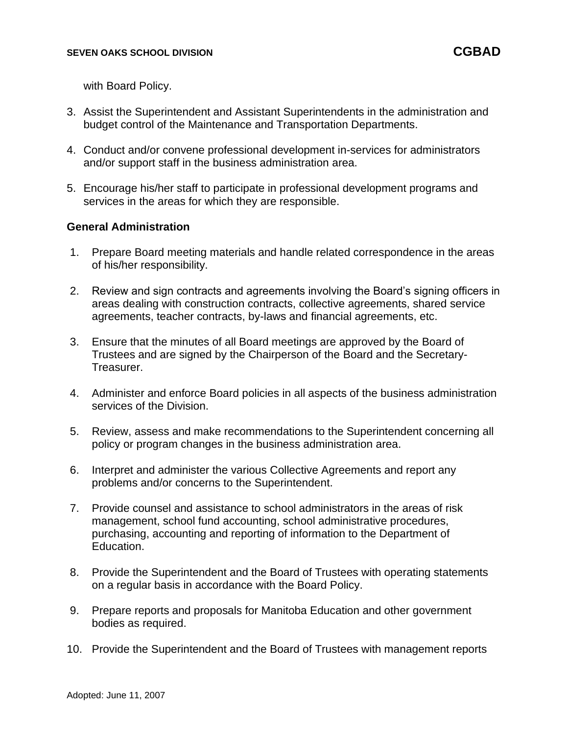with Board Policy.

- 3. Assist the Superintendent and Assistant Superintendents in the administration and budget control of the Maintenance and Transportation Departments.
- 4. Conduct and/or convene professional development in-services for administrators and/or support staff in the business administration area.
- 5. Encourage his/her staff to participate in professional development programs and services in the areas for which they are responsible.

### **General Administration**

- 1. Prepare Board meeting materials and handle related correspondence in the areas of his/her responsibility.
- 2. Review and sign contracts and agreements involving the Board's signing officers in areas dealing with construction contracts, collective agreements, shared service agreements, teacher contracts, by-laws and financial agreements, etc.
- 3. Ensure that the minutes of all Board meetings are approved by the Board of Trustees and are signed by the Chairperson of the Board and the Secretary-Treasurer.
- 4. Administer and enforce Board policies in all aspects of the business administration services of the Division.
- 5. Review, assess and make recommendations to the Superintendent concerning all policy or program changes in the business administration area.
- 6. Interpret and administer the various Collective Agreements and report any problems and/or concerns to the Superintendent.
- 7. Provide counsel and assistance to school administrators in the areas of risk management, school fund accounting, school administrative procedures, purchasing, accounting and reporting of information to the Department of Education.
- 8. Provide the Superintendent and the Board of Trustees with operating statements on a regular basis in accordance with the Board Policy.
- 9. Prepare reports and proposals for Manitoba Education and other government bodies as required.
- 10. Provide the Superintendent and the Board of Trustees with management reports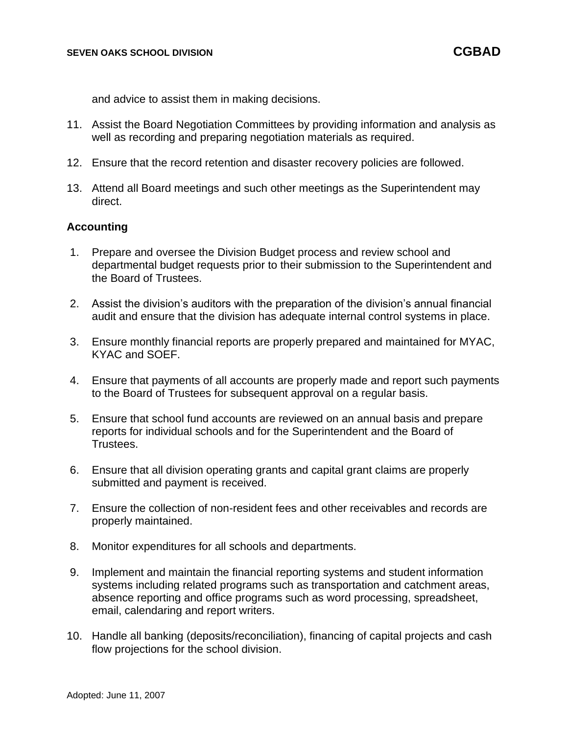and advice to assist them in making decisions.

- 11. Assist the Board Negotiation Committees by providing information and analysis as well as recording and preparing negotiation materials as required.
- 12. Ensure that the record retention and disaster recovery policies are followed.
- 13. Attend all Board meetings and such other meetings as the Superintendent may direct.

### **Accounting**

- 1. Prepare and oversee the Division Budget process and review school and departmental budget requests prior to their submission to the Superintendent and the Board of Trustees.
- 2. Assist the division's auditors with the preparation of the division's annual financial audit and ensure that the division has adequate internal control systems in place.
- 3. Ensure monthly financial reports are properly prepared and maintained for MYAC, KYAC and SOEF.
- 4. Ensure that payments of all accounts are properly made and report such payments to the Board of Trustees for subsequent approval on a regular basis.
- 5. Ensure that school fund accounts are reviewed on an annual basis and prepare reports for individual schools and for the Superintendent and the Board of Trustees.
- 6. Ensure that all division operating grants and capital grant claims are properly submitted and payment is received.
- 7. Ensure the collection of non-resident fees and other receivables and records are properly maintained.
- 8. Monitor expenditures for all schools and departments.
- 9. Implement and maintain the financial reporting systems and student information systems including related programs such as transportation and catchment areas, absence reporting and office programs such as word processing, spreadsheet, email, calendaring and report writers.
- 10. Handle all banking (deposits/reconciliation), financing of capital projects and cash flow projections for the school division.